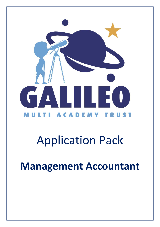

# Application Pack

**Management Accountant**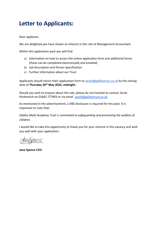### **Letter to Applicants:**

Dear applicant,

We are delighted you have shown an interest in the role of Management Accountant.

Within this application pack you will find:

- a) Information on how to access the online application form and additional forms (these can be completed electronically and emailed)
- b) Job Description and Person Specification
- c) Further information about our Trust

Applicants should return their application form to sarah@galileotrust.co.uk by the closing date of **Thursday 26 th May 2022, midnight.**

Should you wish to enquire about the role, please do not hesitate to contact Sarah Hindmarch on 01642 777963 or via email sarah@galileotrust.co.uk

As mentioned in the advertisement, a DBS disclosure is required for this post. It is important to note that:

*Galileo Multi Academy Trust is committed to safeguarding and promoting the welfare of children.* 

I would like to take this opportunity to thank you for your interest in this vacancy and wish you well with your application.

pence

**Jane Spence CEO**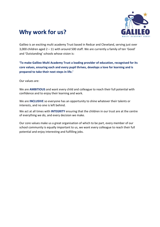### **Why work for us?**



Galileo is an exciting multi academy Trust based in Redcar and Cleveland, serving just over 3,000 children aged 2 – 11 with around 500 staff. We are currently a family of ten 'Good' and 'Outstanding' schools whose vision is:

**'To make Galileo Multi Academy Trust a leading provider of education, recognised for its core values, ensuring each and every pupil thrives, develops a love for learning and is prepared to take their next steps in life.'**

Our values are:

We are **AMBITIOUS** and want every child and colleague to reach their full potential with confidence and to enjoy their learning and work.

We are **INCLUSIVE** so everyone has an opportunity to shine whatever their talents or interests, and no one is left behind.

We act at all times with **INTEGRITY** ensuring that the children in our trust are at the centre of everything we do, and every decision we make.

Our core values make us a great organisation of which to be part, every member of our school community is equally important to us, we want every colleague to reach their full potential and enjoy interesting and fulfilling jobs.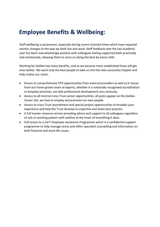### **Employee Benefits & Wellbeing:**

Staff wellbeing is paramount, especially during recent stressful times which have required seismic changes to the way we both live and work. Staff feedback over the last academic year has been overwhelmingly positive with colleagues feeling supported both practically and emotionally, allowing them to carry on doing the best by every child.

Working for Galileo has many benefits, and as we become more established these will get even better. We want only the best people to take us into the next successful chapter and help realise our vision.

- Access to comprehensive CPD opportunities from external providers as well as in house from our home-grown team of experts, whether it is nationally recognised accreditation or bespoke provision, we take professional development very seriously.
- Access to all internal cross Trust career opportunities, all posts appear on the Galileo Career site, we love to employ and promote our own people.
- Access to cross Trust secondment and special project opportunities to broaden your experience and help the Trust develop its expertise and share best practice.
- A full human resource service providing advice and support to all colleagues regardless of role or working pattern with welfare at the heart of everything it does.
- Full access to a 24/7 Employee Assistance Programme which is a confidential support programme to help manage stress and offers specialist counselling and information on both financial and work-life issues.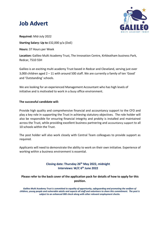### **Job Advert**



**Required:** Mid-July 2022

**Starting Salary: Up to** £32,000 p/a (DoE)

**Hours:** 37 Hours per Week

**Location:** Galileo Multi Academy Trust, The Innovation Centre, Kirkleatham business Park, Redcar, TS10 5SH

Galileo is an exciting multi academy Trust based in Redcar and Cleveland, serving just over 3,000 children aged 2 – 11 with around 500 staff. We are currently a family of ten 'Good' and 'Outstanding' schools.

We are looking for an experienced Management Accountant who has high levels of initiative and is motivated to work in a busy office environment.

#### **The successful candidate will:**

Provide high quality and comprehensive financial and accountancy support to the CFO and play a key role in supporting the Trust in achieving statutory objectives. The role holder will also be responsible for ensuring financial integrity and probity is installed and maintained across the Trust, while providing excellent business partnering and accountancy support to all 10 schools within the Trust.

The post holder will also work closely with Central Team colleagues to provide support as required.

Applicants will need to demonstrate the ability to work on their own initiative. Experience of working within a business environment is essential.

#### **Closing date: Thursday 26 th May 2022, midnight Interviews: W/C 6 th June 2022**

#### **Please refer to the back cover of the application pack for details of how to apply for this position.**

*Galileo Multi Academy Trust is committed to equality of opportunity, safeguarding and promoting the welfare of children, young people and vulnerable adults and expects all staff and volunteers to share this commitment. The post is subject to an enhanced DBS check along with other relevant employment checks.*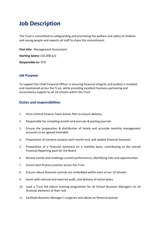### **Job Description**

The Trust is committed to safeguarding and promoting the welfare and safety of children and young people and expects all staff to share this commitment.

**Post title:** Management Accountant

**Starting Salary:** £32,000 p/a

**Responsible to:** CFO

#### **Job Purpose**

To support the Chief Financial Officer in ensuring financial integrity and probity is installed and maintained across the Trust, while providing excellent business partnering and accountancy support to all 10 schools within the Trust.

#### **Duties and responsibilities**

- 1. Drive Central Finance Team Action Plan to ensure delivery
- 2. Responsible for compiling month-end accruals & posting journals
- 3. Ensure the preparation & distribution of timely and accurate monthly management accounts to an agreed timetable
- 4. Preparation of variance analysis each month end, and update financial forecasts
- 5. Preparation of a Financial Summary on a monthly basis, contributing to the overall Financial Reporting pack for the Board
- 6. Review trends and challenge current performance, identifying risks and opportunities
- 7. Ensure best finance practice across the Trust
- 8. Ensure robust financial controls are embedded within each of our 10 Schools
- 9. Assist with internal and external audit, and delivery of action plans
- 10. Lead a Trust led robust training programme for all School Business Managers on all financial elements of their role
- 11. Facilitate Business Manager's surgeries and advise on financial queries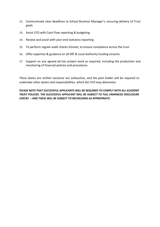- 12. Communicate clear deadlines to School Business Manager's, ensuring delivery of Trust goals
- 13. Assist CFO with Cash Flow reporting & budgeting
- 14. Review and assist with year-end statutory reporting
- 15. To perform regular audit checks Schools, to ensure compliance across the trust
- 16. Offer expertise & guidance on all DfE & Local Authority funding streams
- 17. Support on any agreed ad hoc project work as required, including the production and monitoring of financial policies and procedures

*These duties are neither exclusive nor exhaustive, and the post holder will be required to undertake other duties and responsibilities, which the CFO may determine.*

*PLEASE NOTE THAT SUCCESSFUL APPLICANTS WILL BE REQUIRED TO COMPLY WITH ALL ACADEMY TRUST POLICIES. THE SUCCESSFUL APPLICANT WILL BE SUBJECT TO FULL ENHANCED DISCLOSURE CHECKS – AND THESE WILL BE SUBJECT TO RECHECKING AS APPROPRIATE.*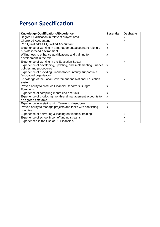## **Person Specification**

| Knowledge/Qualifications/Experience                          | <b>Essential</b> | <b>Desirable</b>          |
|--------------------------------------------------------------|------------------|---------------------------|
| Degree Qualification in relevant subject area                |                  | X                         |
| <b>Chartered Accountant</b>                                  |                  | X                         |
| <b>Part Qualified/AAT Qualified Accountant</b>               | X                |                           |
| Experience of working in a management accountant role in a   | X                |                           |
| busy/fast-faced environment.                                 |                  |                           |
| Willingness to enhance qualifications and training for       | X                |                           |
| development in the role                                      |                  |                           |
| Experience of working in the Education Sector                |                  | x                         |
| Experience of developing, updating, and implementing Finance | X                |                           |
| policies and procedures                                      |                  |                           |
| Experience of providing Finance/Accountancy support in a     | X                |                           |
| fast-paced organisation                                      |                  |                           |
| Knowledge of the Local Government and National Education     |                  | $\boldsymbol{\mathsf{x}}$ |
| system                                                       |                  |                           |
| Proven ability to produce Financial Reports & Budget         | X                |                           |
| Forecasts                                                    |                  |                           |
| Experience of compiling month end accruals                   | X                |                           |
| Experience of producing month-end management accounts to     | X                |                           |
| an agreed timetable                                          |                  |                           |
| Experience in assisting with Year-end closedown              | X                |                           |
| Proven ability to manage projects and tasks with conflicting | X                |                           |
| priorities                                                   |                  |                           |
| Experience of delivering & leading on financial training     |                  | X                         |
| Experience of school Income/funding streams                  |                  | $\boldsymbol{\mathsf{x}}$ |
| Experienced in the Use of PS Financials                      |                  | $\boldsymbol{\mathsf{x}}$ |